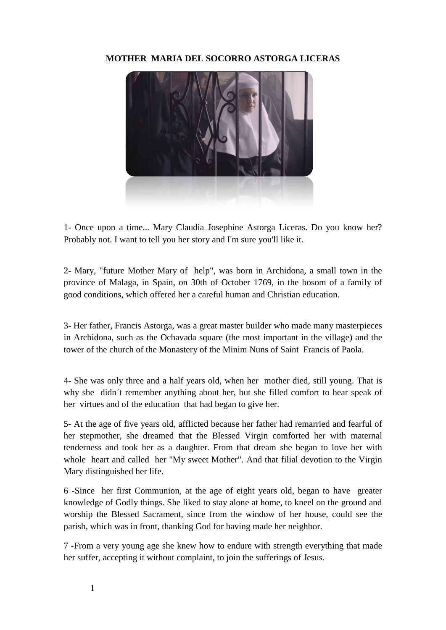## **MOTHER MARIA DEL SOCORRO ASTORGA LICERAS**



1- Once upon a time... Mary Claudia Josephine Astorga Liceras. Do you know her? Probably not. I want to tell you her story and I'm sure you'll like it.

2- Mary, "future Mother Mary of help", was born in Archidona, a small town in the province of Malaga, in Spain, on 30th of October 1769, in the bosom of a family of good conditions, which offered her a careful human and Christian education.

3- Her father, Francis Astorga, was a great master builder who made many masterpieces in Archidona, such as the Ochavada square (the most important in the village) and the tower of the church of the Monastery of the Minim Nuns of Saint Francis of Paola.

4- She was only three and a half years old, when her mother died, still young. That is why she didn´t remember anything about her, but she filled comfort to hear speak of her virtues and of the education that had began to give her.

5- At the age of five years old, afflicted because her father had remarried and fearful of her stepmother, she dreamed that the Blessed Virgin comforted her with maternal tenderness and took her as a daughter. From that dream she began to love her with whole heart and called her "My sweet Mother". And that filial devotion to the Virgin Mary distinguished her life.

6 -Since her first Communion, at the age of eight years old, began to have greater knowledge of Godly things. She liked to stay alone at home, to kneel on the ground and worship the Blessed Sacrament, since from the window of her house, could see the parish, which was in front, thanking God for having made her neighbor.

7 -From a very young age she knew how to endure with strength everything that made her suffer, accepting it without complaint, to join the sufferings of Jesus.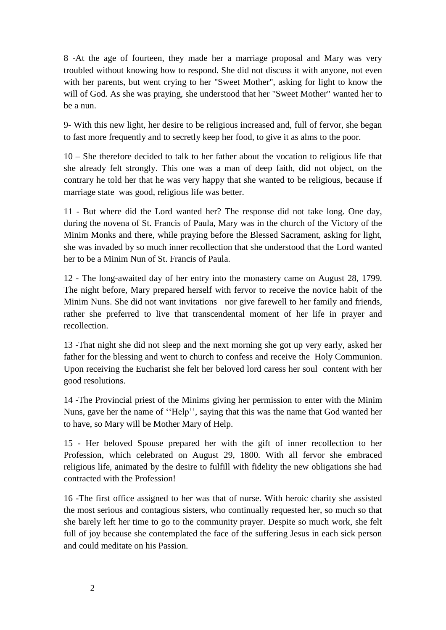8 -At the age of fourteen, they made her a marriage proposal and Mary was very troubled without knowing how to respond. She did not discuss it with anyone, not even with her parents, but went crying to her "Sweet Mother", asking for light to know the will of God. As she was praying, she understood that her "Sweet Mother" wanted her to be a nun.

9- With this new light, her desire to be religious increased and, full of fervor, she began to fast more frequently and to secretly keep her food, to give it as alms to the poor.

10 – She therefore decided to talk to her father about the vocation to religious life that she already felt strongly. This one was a man of deep faith, did not object, on the contrary he told her that he was very happy that she wanted to be religious, because if marriage state was good, religious life was better.

11 - But where did the Lord wanted her? The response did not take long. One day, during the novena of St. Francis of Paula, Mary was in the church of the Victory of the Minim Monks and there, while praying before the Blessed Sacrament, asking for light, she was invaded by so much inner recollection that she understood that the Lord wanted her to be a Minim Nun of St. Francis of Paula.

12 - The long-awaited day of her entry into the monastery came on August 28, 1799. The night before, Mary prepared herself with fervor to receive the novice habit of the Minim Nuns. She did not want invitations nor give farewell to her family and friends, rather she preferred to live that transcendental moment of her life in prayer and recollection.

13 -That night she did not sleep and the next morning she got up very early, asked her father for the blessing and went to church to confess and receive the Holy Communion. Upon receiving the Eucharist she felt her beloved lord caress her soul content with her good resolutions.

14 -The Provincial priest of the Minims giving her permission to enter with the Minim Nuns, gave her the name of ''Help'', saying that this was the name that God wanted her to have, so Mary will be Mother Mary of Help.

15 - Her beloved Spouse prepared her with the gift of inner recollection to her Profession, which celebrated on August 29, 1800. With all fervor she embraced religious life, animated by the desire to fulfill with fidelity the new obligations she had contracted with the Profession!

16 -The first office assigned to her was that of nurse. With heroic charity she assisted the most serious and contagious sisters, who continually requested her, so much so that she barely left her time to go to the community prayer. Despite so much work, she felt full of joy because she contemplated the face of the suffering Jesus in each sick person and could meditate on his Passion.